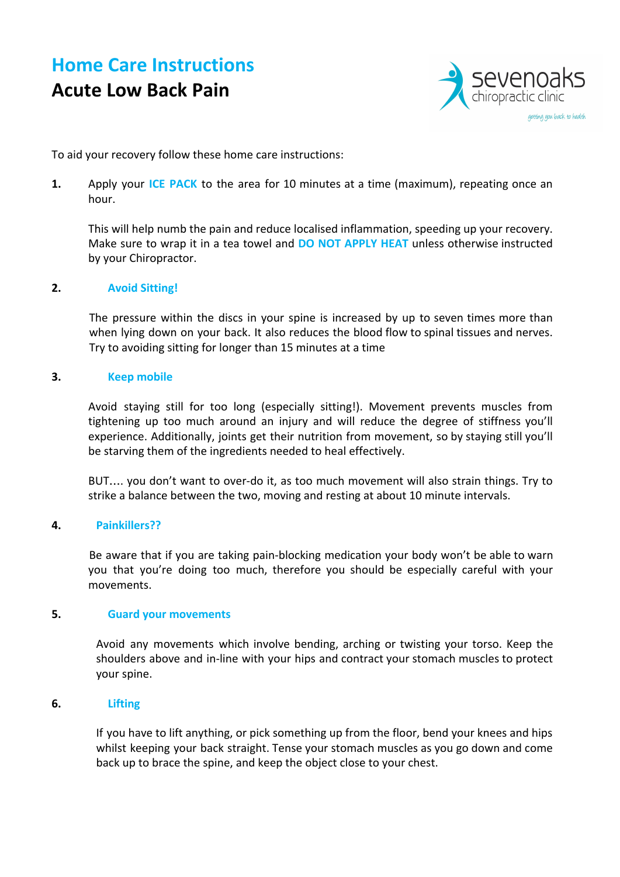## **Home Care Instructions Acute Low Back Pain**



To aid your recovery follow these home care instructions:

**1.** Apply your **ICE PACK** to the area for 10 minutes at a time (maximum), repeating once an hour.

This will help numb the pain and reduce localised inflammation, speeding up your recovery. Make sure to wrap it in a tea towel and **DO NOT APPLY HEAT** unless otherwise instructed by your Chiropractor.

#### **2. Avoid Sitting!**

The pressure within the discs in your spine is increased by up to seven times more than when lying down on your back. It also reduces the blood flow to spinal tissues and nerves. Try to avoiding sitting for longer than 15 minutes at a time

#### **3. Keep mobile**

Avoid staying still for too long (especially sitting!). Movement prevents muscles from tightening up too much around an injury and will reduce the degree of stiffness you'll experience. Additionally, joints get their nutrition from movement, so by staying still you'll be starving them of the ingredients needed to heal effectively.

BUT…. you don't want to over-do it, as too much movement will also strain things. Try to strike a balance between the two, moving and resting at about 10 minute intervals.

### **4. Painkillers??**

Be aware that if you are taking pain-blocking medication your body won't be able to warn you that you're doing too much, therefore you should be especially careful with your movements.

#### **5. Guard your movements**

Avoid any movements which involve bending, arching or twisting your torso. Keep the shoulders above and in-line with your hips and contract your stomach muscles to protect your spine.

#### **6. Lifting**

If you have to lift anything, or pick something up from the floor, bend your knees and hips whilst keeping your back straight. Tense your stomach muscles as you go down and come back up to brace the spine, and keep the object close to your chest.